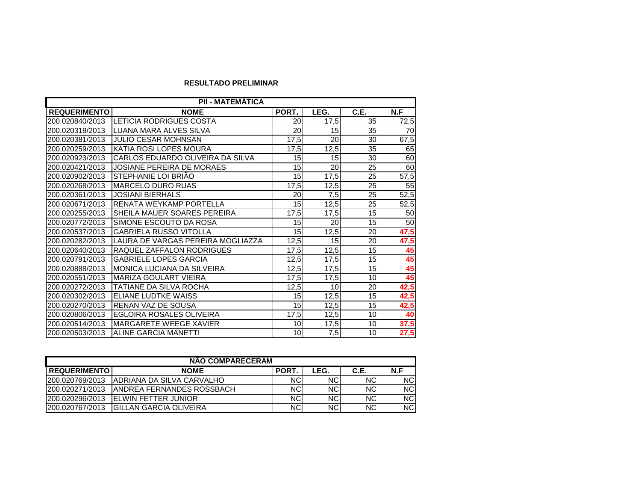## **RESULTADO PRELIMINAR**

| <b>PII - MATEMATICA</b> |                                   |                 |                  |                 |      |  |
|-------------------------|-----------------------------------|-----------------|------------------|-----------------|------|--|
| <b>REQUERIMENTO</b>     | <b>NOME</b>                       | PORT.           | LEG.             | C.E.            | N.F  |  |
| 200.020840/2013         | <b>LETICIA RODRIGUES COSTA</b>    | 20              | 17,5             | 35              | 72,5 |  |
| 200.020318/2013         | LUANA MARA ALVES SILVA            | 20              | 15               | 35              | 70   |  |
| 200.020381/2013         | <b>JULIO CESAR MOHNSAN</b>        | 17,5            | 20               | 30              | 67,5 |  |
| 200.020259/2013         | <b>KATIA ROSI LOPES MOURA</b>     | 17,5            | 12,5             | 35              | 65   |  |
| 200.020923/2013         | CARLOS EDUARDO OLIVEIRA DA SILVA  | 15              | 15               | 30              | 60   |  |
| 200.020421/2013         | <b>JOSIANE PEREIRA DE MORAES</b>  | 15              | $\overline{20}$  | 25              | 60   |  |
| 200.020902/2013         | STEPHANIE LOI BRIÃO               | 15              | 17,5             | 25              | 57,5 |  |
| 200.020268/2013         | <b>MARCELO DURO RUAS</b>          | 17,5            | 12,5             | 25              | 55   |  |
| 200.020361/2013         | <b>JOSIANI BIERHALS</b>           | $\overline{20}$ | $\overline{7,5}$ | 25              | 52,5 |  |
| 200.020671/2013         | <b>RENATA WEYKAMP PORTELLA</b>    | 15              | 12,5             | 25              | 52,5 |  |
| 200.020255/2013         | SHEILA MAUER SOARES PEREIRA       | 17,5            | 17,5             | 15              | 50   |  |
| 200.020772/2013         | SIMONE ESCOUTO DA ROSA            | 15              | 20               | $\overline{15}$ | 50   |  |
| 200.020537/2013         | <b>GABRIELA RUSSO VITOLLA</b>     | 15              | 12,5             | 20              | 47,5 |  |
| 200.020282/2013         | LAURA DE VARGAS PEREIRA MOGLIAZZA | 12,5            | 15               | 20              | 47,5 |  |
| 200.020640/2013         | RAQUEL ZAFFALON RODRIGUES         | 17,5            | 12,5             | 15              | 45   |  |
| 200.020791/2013         | <b>GABRIELE LOPES GARCIA</b>      | 12,5            | 17,5             | 15              | 45   |  |
| 200.020888/2013         | MONICA LUCIANA DA SILVEIRA        | 12,5            | 17,5             | 15              | 45   |  |
| 200.020551/2013         | <b>MARIZA GOULART VIEIRA</b>      | 17,5            | 17,5             | 10              | 45   |  |
| 200.020272/2013         | TATIANE DA SILVA ROCHA            | 12,5            | 10               | 20              | 42,5 |  |
| 200.020302/2013         | ELIANE LUDTKE WAISS               | 15              | 12,5             | 15              | 42,5 |  |
| 200.020270/2013         | RENAN VAZ DE SOUSA                | 15              | 12,5             | 15              | 42,5 |  |
| 200.020806/2013         | <b>EGLOIRA ROSALES OLIVEIRA</b>   | 17,5            | 12,5             | 10              | 40   |  |
| 200.020514/2013         | <b>MARGARETE WEEGE XAVIER</b>     | 10              | 17,5             | 10              | 37,5 |  |
| 200.020503/2013         | <b>ALINE GARCIA MANETTI</b>       | 10              | 7,5              | 10              | 27,5 |  |

| <b>NÃO COMPARECERAM</b> |                                   |       |            |            |            |  |  |
|-------------------------|-----------------------------------|-------|------------|------------|------------|--|--|
| <b>REQUERIMENTO</b>     | <b>NOME</b>                       | PORT. | LEG.       | C.E.       | N.F        |  |  |
| 1200.020769/2013        | IADRIANA DA SILVA CARVALHO        | NCI   | NC.        | <b>NCI</b> | NC.        |  |  |
| 1200.020271/2013        | <b>JANDREA FERNANDES ROSSBACH</b> | NCI   | <b>NCI</b> | <b>NCI</b> | NC.        |  |  |
| 200.020296/2013         | <b>IFLWIN FETTER JUNIOR</b>       | NCI   | <b>NCI</b> | <b>NCI</b> | NC.        |  |  |
| 1200.020767/2013        | IGILLAN GARCIA OLIVEIRA           | NCI   | <b>NCI</b> | <b>NCI</b> | <b>NCI</b> |  |  |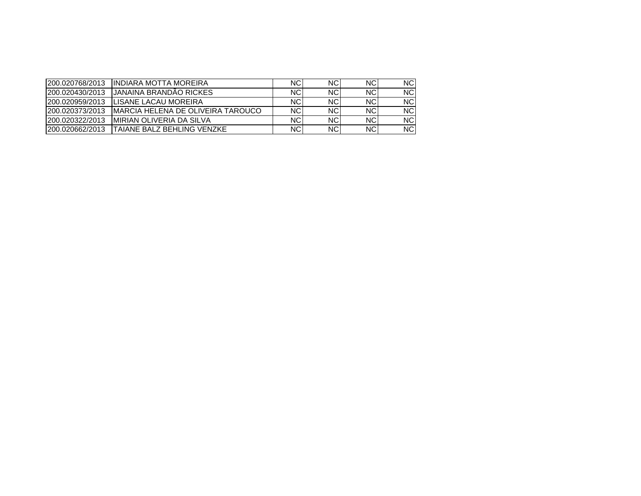| 200.020768/2013 | <b>IINDIARA MOTTA MOREIRA</b>      | NC.       | NC.       | NC.       | NC.       |
|-----------------|------------------------------------|-----------|-----------|-----------|-----------|
| 200.020430/2013 | <b>JJANAINA BRANDÃO RICKES</b>     | NC.       | <b>NC</b> | NC.       | <b>NC</b> |
| 200.020959/2013 | ILISANE LACAU MOREIRA              | NC.       | NC.       | NC.       | NC.       |
| 200.020373/2013 | IMARCIA HELENA DE OLIVEIRA TAROUCO | <b>NC</b> | NC.       | NC.       | NC.       |
| 200.020322/2013 | <b>IMIRIAN OLIVERIA DA SILVA</b>   | NC.       | NC.       | <b>NC</b> | NC.       |
| 200.020662/2013 | <b>TAIANE BALZ BEHLING VENZKE</b>  | NC.       | ΝC        | <b>NC</b> | NC.       |